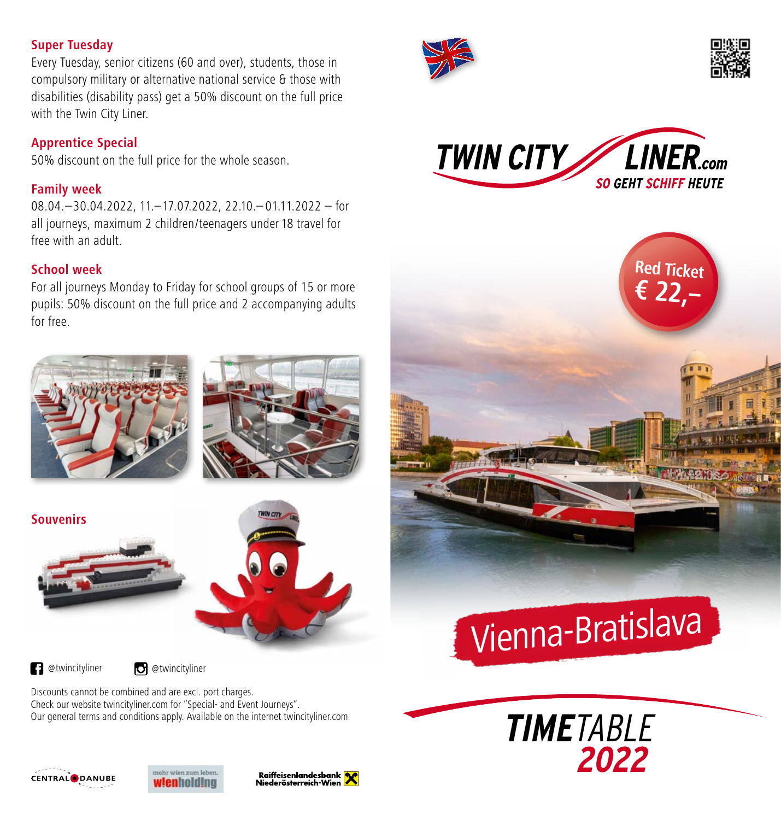### **Super Tuesday**

Every Tuesday, senior citizens (60 and over), students, those in compulsory military or alternative national service & those with disabilities (disability pass) get a 50% discount on the full price with the Twin City Liner.

# **Apprentice Special**

50% discount on the full price for the whole season.

### **Family week**

08.04.–30.04.2022, 11.–17.07.2022, 22.10.– 01.11.2022 – for all journeys, maximum 2 children/teenagers under 18 travel for free with an adult.

# **School week**

For all journeys Monday to Friday for school groups of 15 or more pupils: 50% discount on the full price and 2 accompanying adults for free.



**a** @twincityliner **d** @twincityliner

Discounts cannot be combined and are excl. port charges. Check our website twincityliner.com for "Special- and Event Journeys". Our general terms and conditions apply. Available on the internet twincityliner.com